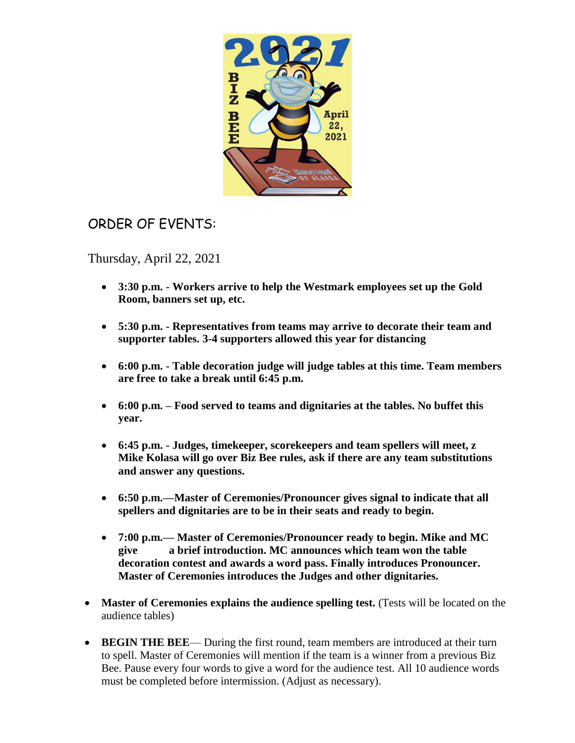

## ORDER OF EVENTS:

Thursday, April 22, 2021

- **3:30 p.m. - Workers arrive to help the Westmark employees set up the Gold Room, banners set up, etc.**
- **5:30 p.m. - Representatives from teams may arrive to decorate their team and supporter tables. 3-4 supporters allowed this year for distancing**
- **6:00 p.m. - Table decoration judge will judge tables at this time. Team members are free to take a break until 6:45 p.m.**
- **6:00 p.m. – Food served to teams and dignitaries at the tables. No buffet this year.**
- **6:45 p.m. - Judges, timekeeper, scorekeepers and team spellers will meet, z Mike Kolasa will go over Biz Bee rules, ask if there are any team substitutions and answer any questions.**
- **6:50 p.m.—Master of Ceremonies/Pronouncer gives signal to indicate that all spellers and dignitaries are to be in their seats and ready to begin.**
- **7:00 p.m.— Master of Ceremonies/Pronouncer ready to begin. Mike and MC give a brief introduction. MC announces which team won the table decoration contest and awards a word pass. Finally introduces Pronouncer. Master of Ceremonies introduces the Judges and other dignitaries.**
- **Master of Ceremonies explains the audience spelling test.** (Tests will be located on the audience tables)
- **BEGIN THE BEE** During the first round, team members are introduced at their turn to spell. Master of Ceremonies will mention if the team is a winner from a previous Biz Bee. Pause every four words to give a word for the audience test. All 10 audience words must be completed before intermission. (Adjust as necessary).